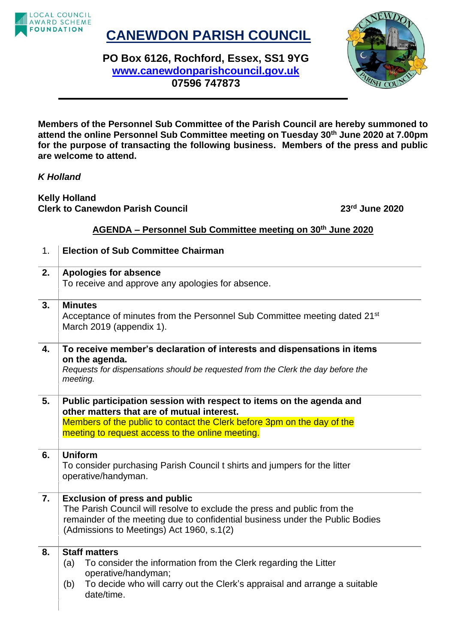

## **CANEWDON PARISH COUNCIL**

**PO Box 6126, Rochford, Essex, SS1 9YG [www.canewdonparishcouncil.gov.uk](http://www.canewdonparishcouncil.gov.uk/) 07596 747873**



**Members of the Personnel Sub Committee of the Parish Council are hereby summoned to attend the online Personnel Sub Committee meeting on Tuesday 30th June 2020 at 7.00pm for the purpose of transacting the following business. Members of the press and public are welcome to attend.**

## *K Holland*

**Kelly Holland Clerk to Canewdon Parish Council 23rd June 2020**

## **AGENDA – Personnel Sub Committee meeting on 30th June 2020**

| 1. | <b>Election of Sub Committee Chairman</b>                                                                                                                                                                                                         |
|----|---------------------------------------------------------------------------------------------------------------------------------------------------------------------------------------------------------------------------------------------------|
| 2. | <b>Apologies for absence</b><br>To receive and approve any apologies for absence.                                                                                                                                                                 |
| 3. | <b>Minutes</b><br>Acceptance of minutes from the Personnel Sub Committee meeting dated 21 <sup>st</sup><br>March 2019 (appendix 1).                                                                                                               |
| 4. | To receive member's declaration of interests and dispensations in items<br>on the agenda.<br>Requests for dispensations should be requested from the Clerk the day before the<br>meeting.                                                         |
| 5. | Public participation session with respect to items on the agenda and<br>other matters that are of mutual interest.<br>Members of the public to contact the Clerk before 3pm on the day of the<br>meeting to request access to the online meeting. |
| 6. | <b>Uniform</b><br>To consider purchasing Parish Council t shirts and jumpers for the litter<br>operative/handyman.                                                                                                                                |
| 7. | <b>Exclusion of press and public</b><br>The Parish Council will resolve to exclude the press and public from the<br>remainder of the meeting due to confidential business under the Public Bodies<br>(Admissions to Meetings) Act 1960, s.1(2)    |
| 8. | <b>Staff matters</b><br>To consider the information from the Clerk regarding the Litter<br>(a)<br>operative/handyman;<br>To decide who will carry out the Clerk's appraisal and arrange a suitable<br>(b)<br>date/time.                           |